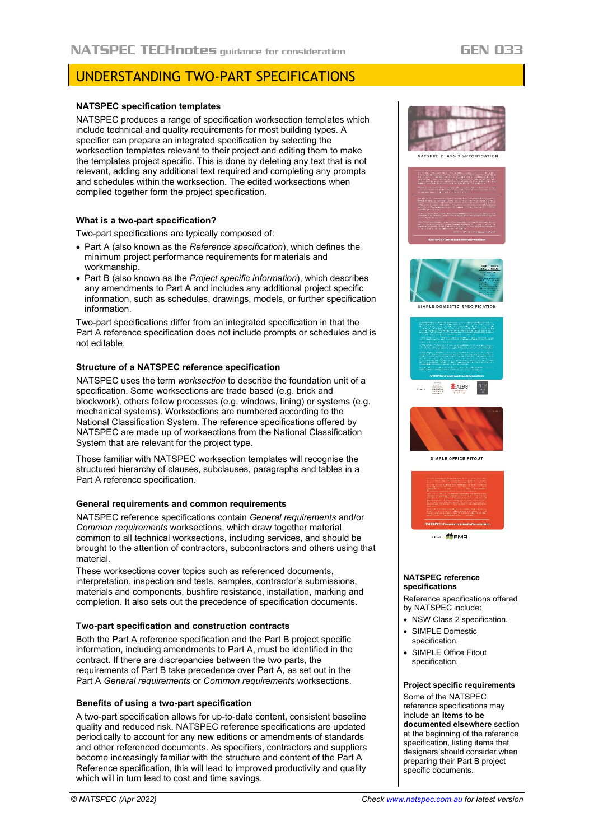# UNDERSTANDING TWO-PART SPECIFICATIONS

## **NATSPEC specification templates**

NATSPEC produces a range of specification worksection templates which include technical and quality requirements for most building types. A specifier can prepare an integrated specification by selecting the worksection templates relevant to their project and editing them to make the templates project specific. This is done by deleting any text that is not relevant, adding any additional text required and completing any prompts and schedules within the worksection. The edited worksections when compiled together form the project specification.

## **What is a two-part specification?**

Two-part specifications are typically composed of:

- Part A (also known as the *Reference specification*), which defines the minimum project performance requirements for materials and workmanship.
- Part B (also known as the *Project specific information*), which describes any amendments to Part A and includes any additional project specific information, such as schedules, drawings, models, or further specification information.

Two-part specifications differ from an integrated specification in that the Part A reference specification does not include prompts or schedules and is not editable.

## **Structure of a NATSPEC reference specification**

NATSPEC uses the term *worksection* to describe the foundation unit of a specification. Some worksections are trade based (e.g. brick and blockwork), others follow processes (e.g. windows, lining) or systems (e.g. mechanical systems). Worksections are numbered according to the National Classification System. The reference specifications offered by NATSPEC are made up of worksections from the National Classification System that are relevant for the project type.

Those familiar with NATSPEC worksection templates will recognise the structured hierarchy of clauses, subclauses, paragraphs and tables in a Part A reference specification.

## **General requirements and common requirements**

NATSPEC reference specifications contain *General requirements* and/or *Common requirements* worksections, which draw together material common to all technical worksections, including services, and should be brought to the attention of contractors, subcontractors and others using that material.

These worksections cover topics such as referenced documents, interpretation, inspection and tests, samples, contractor's submissions, materials and components, bushfire resistance, installation, marking and completion. It also sets out the precedence of specification documents.

## **Two-part specification and construction contracts**

Both the Part A reference specification and the Part B project specific information, including amendments to Part A, must be identified in the contract. If there are discrepancies between the two parts, the requirements of Part B take precedence over Part A, as set out in the Part A *General requirements* or *Common requirements* worksections.

## **Benefits of using a two-part specification**

A two-part specification allows for up-to-date content, consistent baseline quality and reduced risk. NATSPEC reference specifications are updated periodically to account for any new editions or amendments of standards and other referenced documents. As specifiers, contractors and suppliers become increasingly familiar with the structure and content of the Part A Reference specification, this will lead to improved productivity and quality which will in turn lead to cost and time savings.



#### **NATSPEC reference specifications**

Reference specifications offered by NATSPEC include:

- NSW Class 2 specification
- SIMPLE Domestic specification.
- SIMPLE Office Fitout specification.

## **Project specific requirements**

Some of the NATSPEC reference specifications may include an **Items to be documented elsewhere** section at the beginning of the reference specification, listing items that designers should consider when preparing their Part B project specific documents.